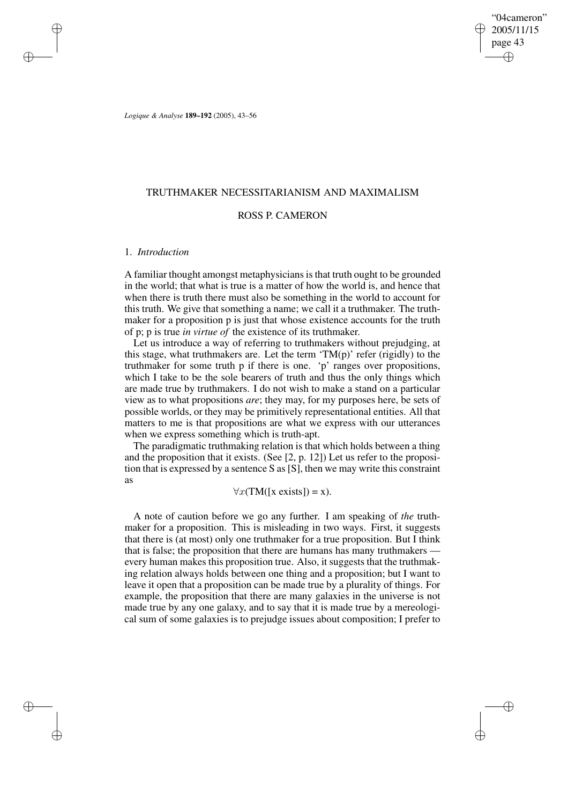"04cameron" 2005/11/15 page 43 ✐ ✐

✐

✐

*Logique & Analyse* **189–192** (2005), 43–56

# TRUTHMAKER NECESSITARIANISM AND MAXIMALISM

# ROSS P. CAMERON

## 1. *Introduction*

✐

✐

✐

✐

A familiar thought amongst metaphysicians is that truth ought to be grounded in the world; that what is true is a matter of how the world is, and hence that when there is truth there must also be something in the world to account for this truth. We give that something a name; we call it a truthmaker. The truthmaker for a proposition p is just that whose existence accounts for the truth of p; p is true *in virtue of* the existence of its truthmaker.

Let us introduce a way of referring to truthmakers without prejudging, at this stage, what truthmakers are. Let the term  $T M(p)$  refer (rigidly) to the truthmaker for some truth p if there is one. 'p' ranges over propositions, which I take to be the sole bearers of truth and thus the only things which are made true by truthmakers. I do not wish to make a stand on a particular view as to what propositions *are*; they may, for my purposes here, be sets of possible worlds, or they may be primitively representational entities. All that matters to me is that propositions are what we express with our utterances when we express something which is truth-apt.

The paradigmatic truthmaking relation is that which holds between a thing and the proposition that it exists. (See [2, p. 12]) Let us refer to the proposition that is expressed by a sentence S as [S], then we may write this constraint as

 $\forall x (TM([x exists]) = x).$ 

A note of caution before we go any further. I am speaking of *the* truthmaker for a proposition. This is misleading in two ways. First, it suggests that there is (at most) only one truthmaker for a true proposition. But I think that is false; the proposition that there are humans has many truthmakers every human makes this proposition true. Also, it suggests that the truthmaking relation always holds between one thing and a proposition; but I want to leave it open that a proposition can be made true by a plurality of things. For example, the proposition that there are many galaxies in the universe is not made true by any one galaxy, and to say that it is made true by a mereological sum of some galaxies is to prejudge issues about composition; I prefer to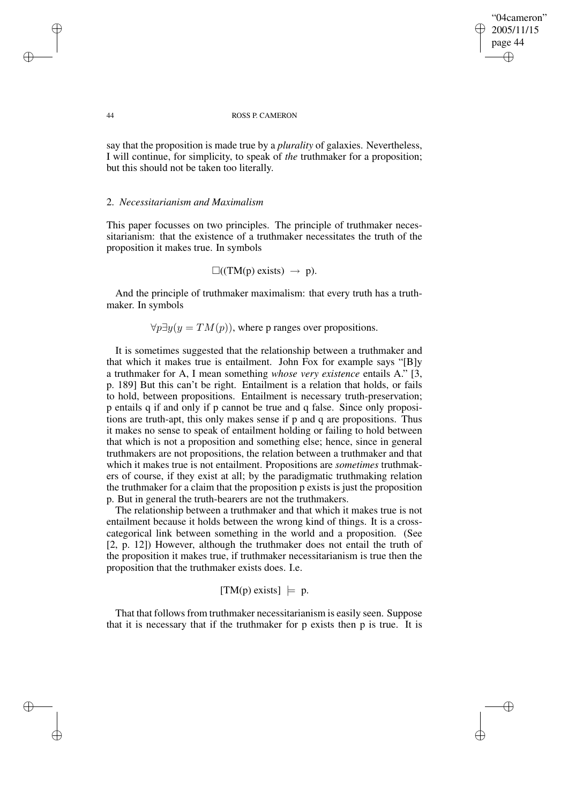"04cameron" 2005/11/15 page 44 ✐ ✐

✐

✐

#### 44 ROSS P. CAMERON

say that the proposition is made true by a *plurality* of galaxies. Nevertheless, I will continue, for simplicity, to speak of *the* truthmaker for a proposition; but this should not be taken too literally.

## 2. *Necessitarianism and Maximalism*

This paper focusses on two principles. The principle of truthmaker necessitarianism: that the existence of a truthmaker necessitates the truth of the proposition it makes true. In symbols

$$
\Box((TM(p) \text{ exists}) \rightarrow p).
$$

And the principle of truthmaker maximalism: that every truth has a truthmaker. In symbols

 $\forall p \exists y (y = TM(p))$ , where p ranges over propositions.

It is sometimes suggested that the relationship between a truthmaker and that which it makes true is entailment. John Fox for example says "[B]y a truthmaker for A, I mean something *whose very existence* entails A." [3, p. 189] But this can't be right. Entailment is a relation that holds, or fails to hold, between propositions. Entailment is necessary truth-preservation; p entails q if and only if p cannot be true and q false. Since only propositions are truth-apt, this only makes sense if p and q are propositions. Thus it makes no sense to speak of entailment holding or failing to hold between that which is not a proposition and something else; hence, since in general truthmakers are not propositions, the relation between a truthmaker and that which it makes true is not entailment. Propositions are *sometimes* truthmakers of course, if they exist at all; by the paradigmatic truthmaking relation the truthmaker for a claim that the proposition p exists is just the proposition p. But in general the truth-bearers are not the truthmakers.

The relationship between a truthmaker and that which it makes true is not entailment because it holds between the wrong kind of things. It is a crosscategorical link between something in the world and a proposition. (See [2, p. 12]) However, although the truthmaker does not entail the truth of the proposition it makes true, if truthmaker necessitarianism is true then the proposition that the truthmaker exists does. I.e.

$$
[TM(p) exists] \models p.
$$

That that followsfrom truthmaker necessitarianism is easily seen. Suppose that it is necessary that if the truthmaker for p exists then p is true. It is

✐

✐

✐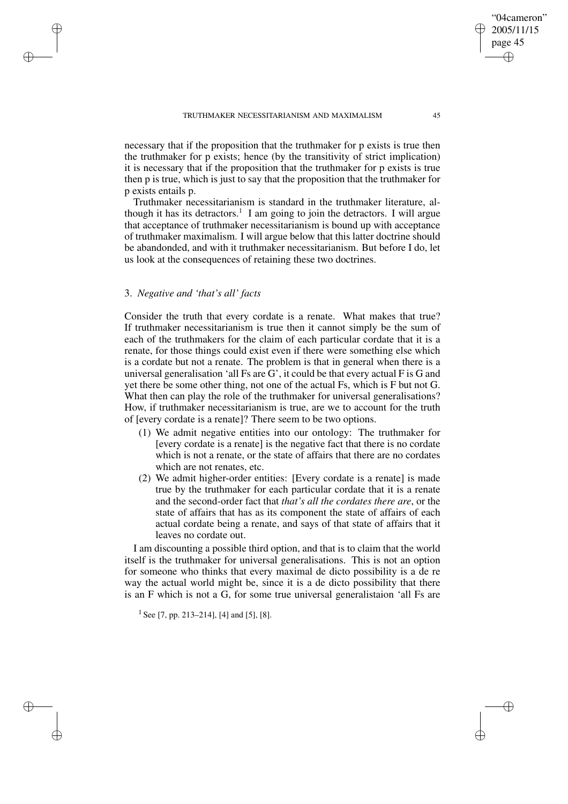necessary that if the proposition that the truthmaker for p exists is true then the truthmaker for p exists; hence (by the transitivity of strict implication) it is necessary that if the proposition that the truthmaker for p exists is true then p is true, which is just to say that the proposition that the truthmaker for p exists entails p.

Truthmaker necessitarianism is standard in the truthmaker literature, although it has its detractors.<sup>1</sup> I am going to join the detractors. I will argue that acceptance of truthmaker necessitarianism is bound up with acceptance of truthmaker maximalism. I will argue below that this latter doctrine should be abandonded, and with it truthmaker necessitarianism. But before I do, let us look at the consequences of retaining these two doctrines.

# 3. *Negative and 'that's all' facts*

✐

✐

✐

✐

Consider the truth that every cordate is a renate. What makes that true? If truthmaker necessitarianism is true then it cannot simply be the sum of each of the truthmakers for the claim of each particular cordate that it is a renate, for those things could exist even if there were something else which is a cordate but not a renate. The problem is that in general when there is a universal generalisation 'all Fs are  $G'$ , it could be that every actual F is  $G$  and yet there be some other thing, not one of the actual Fs, which is F but not G. What then can play the role of the truthmaker for universal generalisations? How, if truthmaker necessitarianism is true, are we to account for the truth of [every cordate is a renate]? There seem to be two options.

- (1) We admit negative entities into our ontology: The truthmaker for [every cordate is a renate] is the negative fact that there is no cordate which is not a renate, or the state of affairs that there are no cordates which are not renates, etc.
- (2) We admit higher-order entities: [Every cordate is a renate] is made true by the truthmaker for each particular cordate that it is a renate and the second-order fact that *that's all the cordates there are*, or the state of affairs that has as its component the state of affairs of each actual cordate being a renate, and says of that state of affairs that it leaves no cordate out.

I am discounting a possible third option, and that is to claim that the world itself is the truthmaker for universal generalisations. This is not an option for someone who thinks that every maximal de dicto possibility is a de re way the actual world might be, since it is a de dicto possibility that there is an F which is not a G, for some true universal generalistaion 'all Fs are

1 See [7, pp. 213–214], [4] and [5], [8].

"04cameron" 2005/11/15 page 45

✐

✐

✐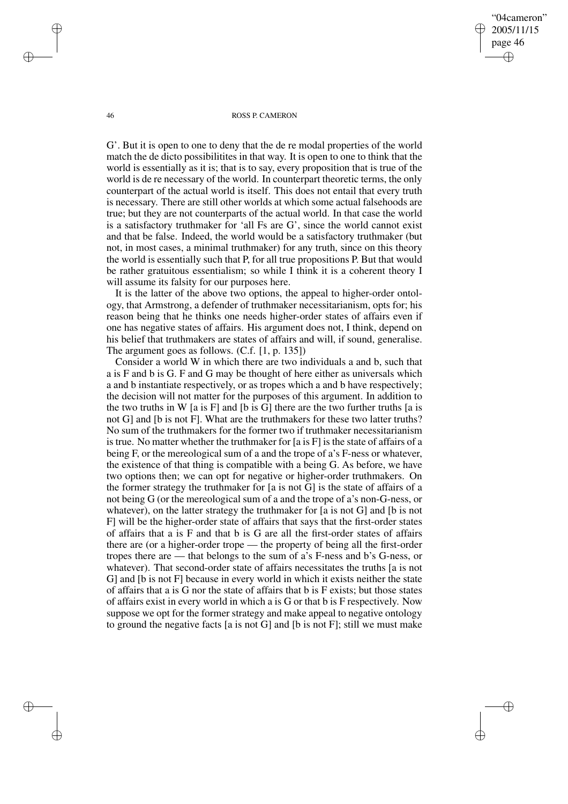"04cameron" 2005/11/15 page 46 ✐ ✐

✐

✐

#### 46 ROSS P. CAMERON

G'. But it is open to one to deny that the de re modal properties of the world match the de dicto possibilitites in that way. It is open to one to think that the world is essentially as it is; that is to say, every proposition that is true of the world is de re necessary of the world. In counterpart theoretic terms, the only counterpart of the actual world is itself. This does not entail that every truth is necessary. There are still other worlds at which some actual falsehoods are true; but they are not counterparts of the actual world. In that case the world is a satisfactory truthmaker for 'all Fs are G', since the world cannot exist and that be false. Indeed, the world would be a satisfactory truthmaker (but not, in most cases, a minimal truthmaker) for any truth, since on this theory the world is essentially such that P, for all true propositions P. But that would be rather gratuitous essentialism; so while I think it is a coherent theory I will assume its falsity for our purposes here.

It is the latter of the above two options, the appeal to higher-order ontology, that Armstrong, a defender of truthmaker necessitarianism, opts for; his reason being that he thinks one needs higher-order states of affairs even if one has negative states of affairs. His argument does not, I think, depend on his belief that truthmakers are states of affairs and will, if sound, generalise. The argument goes as follows. (C.f. [1, p. 135])

Consider a world W in which there are two individuals a and b, such that a is F and b is G. F and G may be thought of here either as universals which a and b instantiate respectively, or as tropes which a and b have respectively; the decision will not matter for the purposes of this argument. In addition to the two truths in W [a is F] and [b is G] there are the two further truths [a is not G] and [b is not F]. What are the truthmakers for these two latter truths? No sum of the truthmakers for the former two if truthmaker necessitarianism is true. No matter whether the truthmaker for  $[a \text{ is } F]$  is the state of affairs of a being F, or the mereological sum of a and the trope of a's F-ness or whatever, the existence of that thing is compatible with a being G. As before, we have two options then; we can opt for negative or higher-order truthmakers. On the former strategy the truthmaker for [a is not G] is the state of affairs of a not being G (or the mereological sum of a and the trope of a's non-G-ness, or whatever), on the latter strategy the truthmaker for [a is not G] and [b is not F] will be the higher-order state of affairs that says that the first-order states of affairs that a is F and that b is G are all the first-order states of affairs there are (or a higher-order trope — the property of being all the first-order tropes there are — that belongs to the sum of a's F-ness and b's G-ness, or whatever). That second-order state of affairs necessitates the truths [a is not G] and [b is not F] because in every world in which it exists neither the state of affairs that a is G nor the state of affairs that b is F exists; but those states of affairs exist in every world in which a is G or that b is F respectively. Now suppose we opt for the former strategy and make appeal to negative ontology to ground the negative facts [a is not G] and [b is not F]; still we must make

✐

✐

✐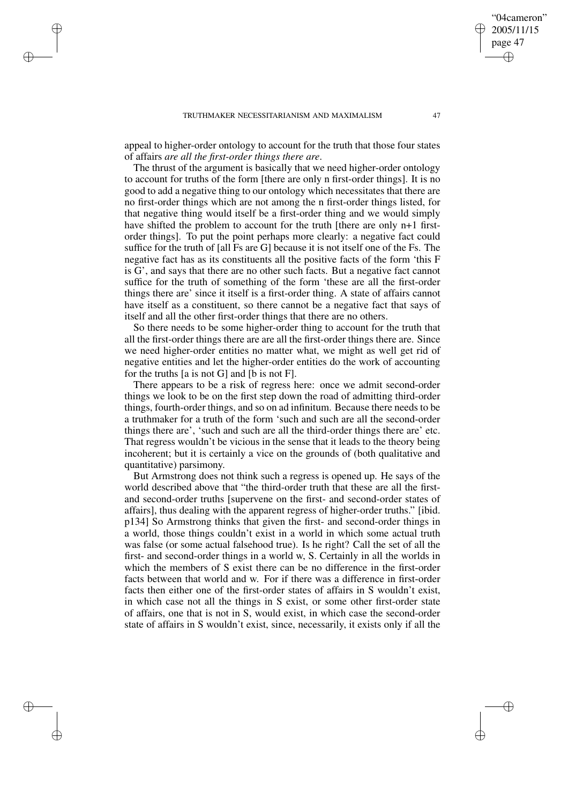✐

✐

✐

✐

appeal to higher-order ontology to account for the truth that those four states of affairs *are all the first-order things there are*.

The thrust of the argument is basically that we need higher-order ontology to account for truths of the form [there are only n first-order things]. It is no good to add a negative thing to our ontology which necessitates that there are no first-order things which are not among the n first-order things listed, for that negative thing would itself be a first-order thing and we would simply have shifted the problem to account for the truth [there are only n+1 firstorder things]. To put the point perhaps more clearly: a negative fact could suffice for the truth of [all Fs are G] because it is not itself one of the Fs. The negative fact has as its constituents all the positive facts of the form 'this F is G', and says that there are no other such facts. But a negative fact cannot suffice for the truth of something of the form 'these are all the first-order things there are' since it itself is a first-order thing. A state of affairs cannot have itself as a constituent, so there cannot be a negative fact that says of itself and all the other first-order things that there are no others.

So there needs to be some higher-order thing to account for the truth that all the first-order things there are are all the first-order things there are. Since we need higher-order entities no matter what, we might as well get rid of negative entities and let the higher-order entities do the work of accounting for the truths [a is not G] and [b is not F].

There appears to be a risk of regress here: once we admit second-order things we look to be on the first step down the road of admitting third-order things, fourth-order things, and so on ad infinitum. Because there needs to be a truthmaker for a truth of the form 'such and such are all the second-order things there are', 'such and such are all the third-order things there are' etc. That regress wouldn't be vicious in the sense that it leads to the theory being incoherent; but it is certainly a vice on the grounds of (both qualitative and quantitative) parsimony.

But Armstrong does not think such a regress is opened up. He says of the world described above that "the third-order truth that these are all the firstand second-order truths [supervene on the first- and second-order states of affairs], thus dealing with the apparent regress of higher-order truths." [ibid. p134] So Armstrong thinks that given the first- and second-order things in a world, those things couldn't exist in a world in which some actual truth was false (or some actual falsehood true). Is he right? Call the set of all the first- and second-order things in a world w, S. Certainly in all the worlds in which the members of S exist there can be no difference in the first-order facts between that world and w. For if there was a difference in first-order facts then either one of the first-order states of affairs in S wouldn't exist, in which case not all the things in S exist, or some other first-order state of affairs, one that is not in S, would exist, in which case the second-order state of affairs in S wouldn't exist, since, necessarily, it exists only if all the

"04cameron" 2005/11/15 page 47

✐

✐

✐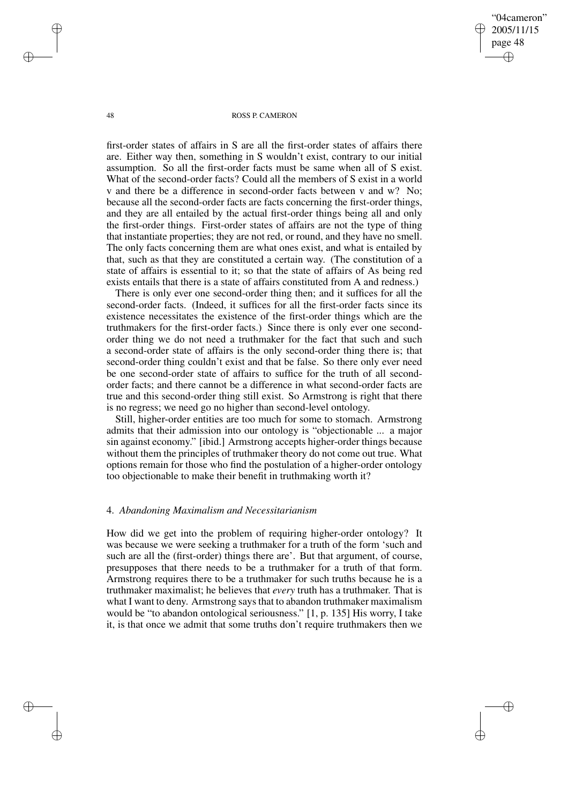"04cameron" 2005/11/15 page 48 ✐ ✐

✐

✐

## 48 ROSS P. CAMERON

first-order states of affairs in S are all the first-order states of affairs there are. Either way then, something in S wouldn't exist, contrary to our initial assumption. So all the first-order facts must be same when all of S exist. What of the second-order facts? Could all the members of S exist in a world v and there be a difference in second-order facts between v and w? No; because all the second-order facts are facts concerning the first-order things, and they are all entailed by the actual first-order things being all and only the first-order things. First-order states of affairs are not the type of thing that instantiate properties; they are not red, or round, and they have no smell. The only facts concerning them are what ones exist, and what is entailed by that, such as that they are constituted a certain way. (The constitution of a state of affairs is essential to it; so that the state of affairs of As being red exists entails that there is a state of affairs constituted from A and redness.)

There is only ever one second-order thing then; and it suffices for all the second-order facts. (Indeed, it suffices for all the first-order facts since its existence necessitates the existence of the first-order things which are the truthmakers for the first-order facts.) Since there is only ever one secondorder thing we do not need a truthmaker for the fact that such and such a second-order state of affairs is the only second-order thing there is; that second-order thing couldn't exist and that be false. So there only ever need be one second-order state of affairs to suffice for the truth of all secondorder facts; and there cannot be a difference in what second-order facts are true and this second-order thing still exist. So Armstrong is right that there is no regress; we need go no higher than second-level ontology.

Still, higher-order entities are too much for some to stomach. Armstrong admits that their admission into our ontology is "objectionable ... a major sin against economy." [ibid.] Armstrong accepts higher-order things because without them the principles of truthmaker theory do not come out true. What options remain for those who find the postulation of a higher-order ontology too objectionable to make their benefit in truthmaking worth it?

## 4. *Abandoning Maximalism and Necessitarianism*

How did we get into the problem of requiring higher-order ontology? It was because we were seeking a truthmaker for a truth of the form 'such and such are all the (first-order) things there are'. But that argument, of course, presupposes that there needs to be a truthmaker for a truth of that form. Armstrong requires there to be a truthmaker for such truths because he is a truthmaker maximalist; he believes that *every* truth has a truthmaker. That is what I want to deny. Armstrong says that to abandon truthmaker maximalism would be "to abandon ontological seriousness." [1, p. 135] His worry, I take it, is that once we admit that some truths don't require truthmakers then we

✐

✐

✐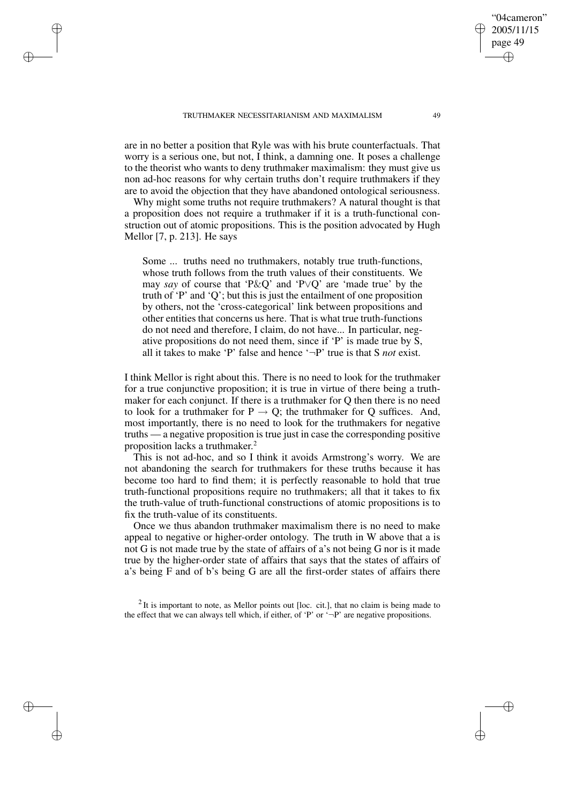TRUTHMAKER NECESSITARIANISM AND MAXIMALISM 49

✐

✐

✐

✐

are in no better a position that Ryle was with his brute counterfactuals. That worry is a serious one, but not, I think, a damning one. It poses a challenge to the theorist who wants to deny truthmaker maximalism: they must give us non ad-hoc reasons for why certain truths don't require truthmakers if they are to avoid the objection that they have abandoned ontological seriousness.

Why might some truths not require truthmakers? A natural thought is that a proposition does not require a truthmaker if it is a truth-functional construction out of atomic propositions. This is the position advocated by Hugh Mellor [7, p. 213]. He says

Some ... truths need no truthmakers, notably true truth-functions, whose truth follows from the truth values of their constituents. We may *say* of course that 'P&Q' and 'P∨Q' are 'made true' by the truth of 'P' and 'Q'; but this is just the entailment of one proposition by others, not the 'cross-categorical' link between propositions and other entities that concerns us here. That is what true truth-functions do not need and therefore, I claim, do not have... In particular, negative propositions do not need them, since if 'P' is made true by S, all it takes to make 'P' false and hence '¬P' true is that S *not* exist.

I think Mellor is right about this. There is no need to look for the truthmaker for a true conjunctive proposition; it is true in virtue of there being a truthmaker for each conjunct. If there is a truthmaker for Q then there is no need to look for a truthmaker for  $P \rightarrow Q$ ; the truthmaker for Q suffices. And, most importantly, there is no need to look for the truthmakers for negative truths — a negative proposition is true just in case the corresponding positive proposition lacks a truthmaker. 2

This is not ad-hoc, and so I think it avoids Armstrong's worry. We are not abandoning the search for truthmakers for these truths because it has become too hard to find them; it is perfectly reasonable to hold that true truth-functional propositions require no truthmakers; all that it takes to fix the truth-value of truth-functional constructions of atomic propositions is to fix the truth-value of its constituents.

Once we thus abandon truthmaker maximalism there is no need to make appeal to negative or higher-order ontology. The truth in W above that a is not G is not made true by the state of affairs of a's not being G nor is it made true by the higher-order state of affairs that says that the states of affairs of a's being F and of b's being G are all the first-order states of affairs there

 $2$  It is important to note, as Mellor points out [loc. cit.], that no claim is being made to the effect that we can always tell which, if either, of 'P' or  $\rightarrow$ P' are negative propositions.

"04cameron" 2005/11/15 page 49

✐

✐

✐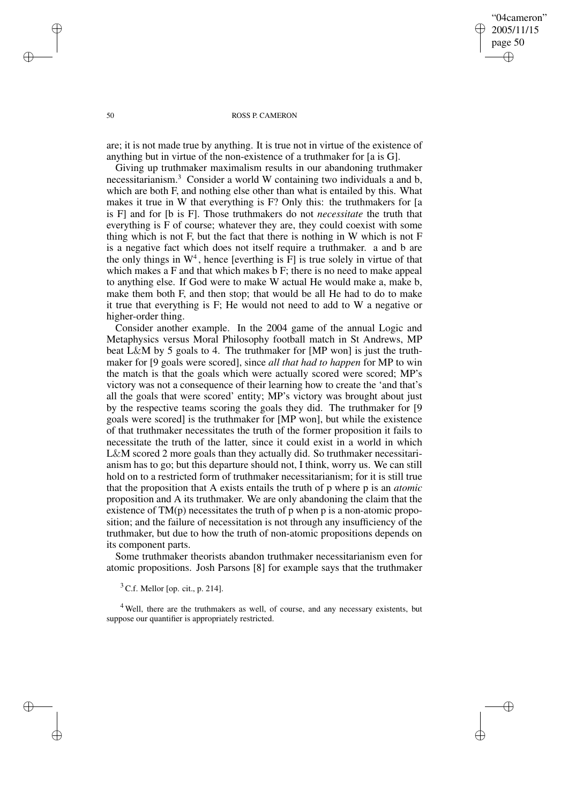"04cameron" 2005/11/15 page 50 ✐ ✐

✐

✐

## 50 ROSS P. CAMERON

are; it is not made true by anything. It is true not in virtue of the existence of anything but in virtue of the non-existence of a truthmaker for [a is G].

Giving up truthmaker maximalism results in our abandoning truthmaker necessitarianism.<sup>3</sup> Consider a world W containing two individuals a and b, which are both F, and nothing else other than what is entailed by this. What makes it true in W that everything is F? Only this: the truthmakers for [a is F] and for [b is F]. Those truthmakers do not *necessitate* the truth that everything is F of course; whatever they are, they could coexist with some thing which is not F, but the fact that there is nothing in W which is not F is a negative fact which does not itself require a truthmaker. a and b are the only things in  $W^4$ , hence [everthing is F] is true solely in virtue of that which makes a F and that which makes b F; there is no need to make appeal to anything else. If God were to make W actual He would make a, make b, make them both F, and then stop; that would be all He had to do to make it true that everything is F; He would not need to add to W a negative or higher-order thing.

Consider another example. In the 2004 game of the annual Logic and Metaphysics versus Moral Philosophy football match in St Andrews, MP beat L&M by 5 goals to 4. The truthmaker for [MP won] is just the truthmaker for [9 goals were scored], since *all that had to happen* for MP to win the match is that the goals which were actually scored were scored; MP's victory was not a consequence of their learning how to create the 'and that's all the goals that were scored' entity; MP's victory was brought about just by the respective teams scoring the goals they did. The truthmaker for [9 goals were scored] is the truthmaker for [MP won], but while the existence of that truthmaker necessitates the truth of the former proposition it fails to necessitate the truth of the latter, since it could exist in a world in which L&M scored 2 more goals than they actually did. So truthmaker necessitarianism has to go; but this departure should not, I think, worry us. We can still hold on to a restricted form of truthmaker necessitarianism; for it is still true that the proposition that A exists entails the truth of p where p is an *atomic* proposition and A its truthmaker. We are only abandoning the claim that the existence of  $TM(p)$  necessitates the truth of p when p is a non-atomic proposition; and the failure of necessitation is not through any insufficiency of the truthmaker, but due to how the truth of non-atomic propositions depends on its component parts.

Some truthmaker theorists abandon truthmaker necessitarianism even for atomic propositions. Josh Parsons [8] for example says that the truthmaker

 $3$  C.f. Mellor [op. cit., p. 214].

<sup>4</sup> Well, there are the truthmakers as well, of course, and any necessary existents, but suppose our quantifier is appropriately restricted.

✐

✐

✐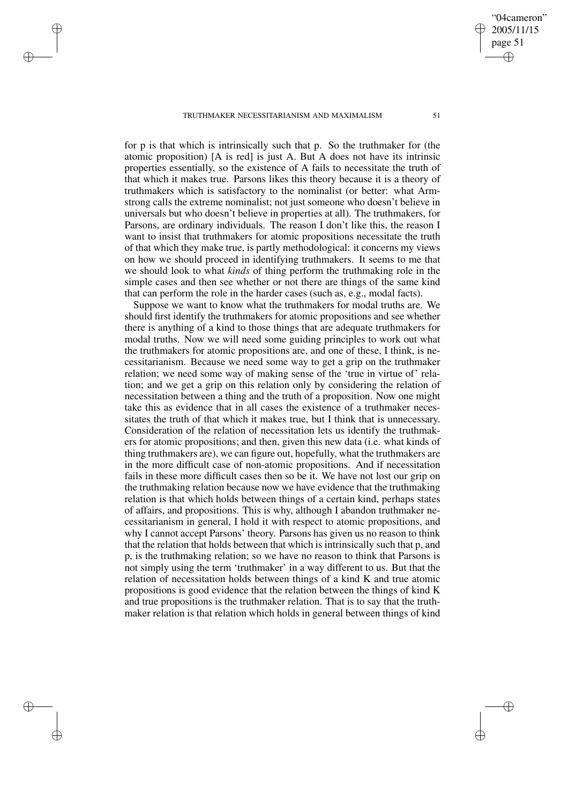TRUTHMAKER NECESSITARIANISM AND MAXIMALISM 51

✐

✐

✐

✐

for p is that which is intrinsically such that p. So the truthmaker for (the atomic proposition) [A is red] is just A. But A does not have its intrinsic properties essentially, so the existence of A fails to necessitate the truth of that which it makes true. Parsons likes this theory because it is a theory of truthmakers which is satisfactory to the nominalist (or better: what Armstrong calls the extreme nominalist; not just someone who doesn't believe in universals but who doesn't believe in properties at all). The truthmakers, for Parsons, are ordinary individuals. The reason I don't like this, the reason I want to insist that truthmakers for atomic propositions necessitate the truth of that which they make true, is partly methodological: it concerns my views on how we should proceed in identifying truthmakers. It seems to me that we should look to what *kinds* of thing perform the truthmaking role in the simple cases and then see whether or not there are things of the same kind that can perform the role in the harder cases (such as, e.g., modal facts).

Suppose we want to know what the truthmakers for modal truths are. We should first identify the truthmakers for atomic propositions and see whether there is anything of a kind to those things that are adequate truthmakers for modal truths. Now we will need some guiding principles to work out what the truthmakers for atomic propositions are, and one of these, I think, is necessitarianism. Because we need some way to get a grip on the truthmaker relation; we need some way of making sense of the 'true in virtue of' relation; and we get a grip on this relation only by considering the relation of necessitation between a thing and the truth of a proposition. Now one might take this as evidence that in all cases the existence of a truthmaker necessitates the truth of that which it makes true, but I think that is unnecessary. Consideration of the relation of necessitation lets us identify the truthmakers for atomic propositions; and then, given this new data (i.e. what kinds of thing truthmakers are), we can figure out, hopefully, what the truthmakers are in the more difficult case of non-atomic propositions. And if necessitation fails in these more difficult cases then so be it. We have not lost our grip on the truthmaking relation because now we have evidence that the truthmaking relation is that which holds between things of a certain kind, perhaps states of affairs, and propositions. This is why, although I abandon truthmaker necessitarianism in general, I hold it with respect to atomic propositions, and why I cannot accept Parsons' theory. Parsons has given us no reason to think that the relation that holds between that which is intrinsically such that p, and p, is the truthmaking relation; so we have no reason to think that Parsons is not simply using the term 'truthmaker' in a way different to us. But that the relation of necessitation holds between things of a kind K and true atomic propositions is good evidence that the relation between the things of kind K and true propositions is the truthmaker relation. That is to say that the truthmaker relation is that relation which holds in general between things of kind

"04cameron" 2005/11/15 page 51

✐

✐

✐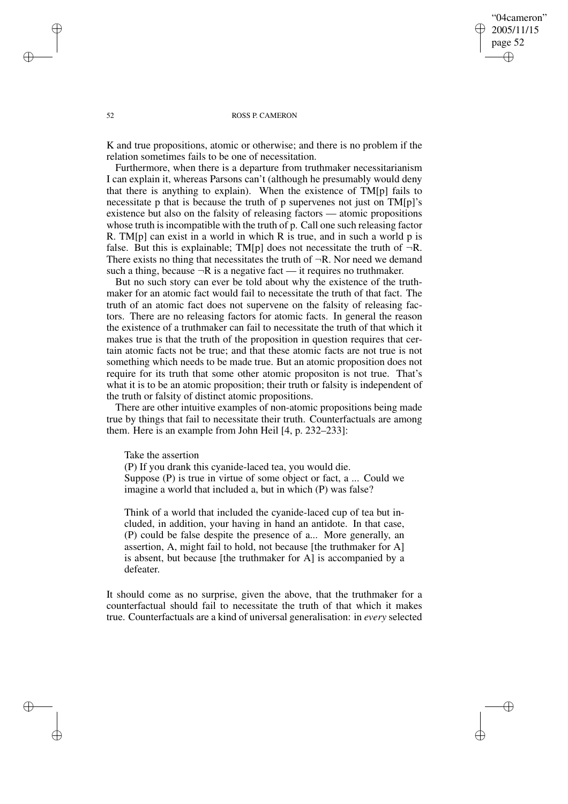# "04cameron" 2005/11/15 page 52 ✐ ✐

✐

✐

## 52 ROSS P. CAMERON

K and true propositions, atomic or otherwise; and there is no problem if the relation sometimes fails to be one of necessitation.

Furthermore, when there is a departure from truthmaker necessitarianism I can explain it, whereas Parsons can't (although he presumably would deny that there is anything to explain). When the existence of TM[p] fails to necessitate p that is because the truth of p supervenes not just on TM[p]'s existence but also on the falsity of releasing factors — atomic propositions whose truth is incompatible with the truth of p. Call one such releasing factor R. TM[p] can exist in a world in which R is true, and in such a world p is false. But this is explainable; TM[p] does not necessitate the truth of  $\neg R$ . There exists no thing that necessitates the truth of  $\neg R$ . Nor need we demand such a thing, because  $\neg R$  is a negative fact — it requires no truthmaker.

But no such story can ever be told about why the existence of the truthmaker for an atomic fact would fail to necessitate the truth of that fact. The truth of an atomic fact does not supervene on the falsity of releasing factors. There are no releasing factors for atomic facts. In general the reason the existence of a truthmaker can fail to necessitate the truth of that which it makes true is that the truth of the proposition in question requires that certain atomic facts not be true; and that these atomic facts are not true is not something which needs to be made true. But an atomic proposition does not require for its truth that some other atomic propositon is not true. That's what it is to be an atomic proposition; their truth or falsity is independent of the truth or falsity of distinct atomic propositions.

There are other intuitive examples of non-atomic propositions being made true by things that fail to necessitate their truth. Counterfactuals are among them. Here is an example from John Heil [4, p. 232–233]:

Take the assertion

(P) If you drank this cyanide-laced tea, you would die. Suppose (P) is true in virtue of some object or fact, a ... Could we imagine a world that included a, but in which (P) was false?

Think of a world that included the cyanide-laced cup of tea but included, in addition, your having in hand an antidote. In that case, (P) could be false despite the presence of a... More generally, an assertion, A, might fail to hold, not because [the truthmaker for A] is absent, but because [the truthmaker for A] is accompanied by a defeater.

It should come as no surprise, given the above, that the truthmaker for a counterfactual should fail to necessitate the truth of that which it makes true. Counterfactuals are a kind of universal generalisation: in *every* selected

✐

✐

✐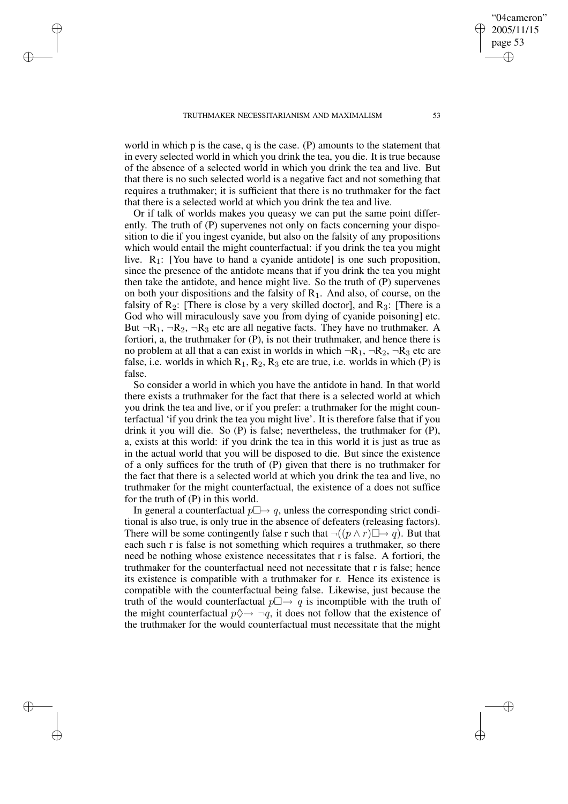✐

✐

✐

✐

world in which p is the case, q is the case. (P) amounts to the statement that in every selected world in which you drink the tea, you die. It is true because of the absence of a selected world in which you drink the tea and live. But that there is no such selected world is a negative fact and not something that requires a truthmaker; it is sufficient that there is no truthmaker for the fact that there is a selected world at which you drink the tea and live.

Or if talk of worlds makes you queasy we can put the same point differently. The truth of (P) supervenes not only on facts concerning your disposition to die if you ingest cyanide, but also on the falsity of any propositions which would entail the might counterfactual: if you drink the tea you might live.  $R_1$ : [You have to hand a cyanide antidote] is one such proposition, since the presence of the antidote means that if you drink the tea you might then take the antidote, and hence might live. So the truth of (P) supervenes on both your dispositions and the falsity of  $R_1$ . And also, of course, on the falsity of  $R_2$ : [There is close by a very skilled doctor], and  $R_3$ : [There is a God who will miraculously save you from dying of cyanide poisoning] etc. But  $\neg R_1$ ,  $\neg R_2$ ,  $\neg R_3$  etc are all negative facts. They have no truthmaker. A fortiori, a, the truthmaker for (P), is not their truthmaker, and hence there is no problem at all that a can exist in worlds in which  $\neg R_1$ ,  $\neg R_2$ ,  $\neg R_3$  etc are false, i.e. worlds in which  $R_1, R_2, R_3$  etc are true, i.e. worlds in which (P) is false.

So consider a world in which you have the antidote in hand. In that world there exists a truthmaker for the fact that there is a selected world at which you drink the tea and live, or if you prefer: a truthmaker for the might counterfactual 'if you drink the tea you might live'. It is therefore false that if you drink it you will die. So (P) is false; nevertheless, the truthmaker for (P), a, exists at this world: if you drink the tea in this world it is just as true as in the actual world that you will be disposed to die. But since the existence of a only suffices for the truth of (P) given that there is no truthmaker for the fact that there is a selected world at which you drink the tea and live, no truthmaker for the might counterfactual, the existence of a does not suffice for the truth of (P) in this world.

In general a counterfactual  $p \Box \rightarrow q$ , unless the corresponding strict conditional is also true, is only true in the absence of defeaters (releasing factors). There will be some contingently false r such that  $\neg((p \land r) \Box \rightarrow q)$ . But that each such r is false is not something which requires a truthmaker, so there need be nothing whose existence necessitates that r is false. A fortiori, the truthmaker for the counterfactual need not necessitate that r is false; hence its existence is compatible with a truthmaker for r. Hence its existence is compatible with the counterfactual being false. Likewise, just because the truth of the would counterfactual  $p \Box \rightarrow q$  is incomptible with the truth of the might counterfactual  $p \Diamond \rightarrow \neg q$ , it does not follow that the existence of the truthmaker for the would counterfactual must necessitate that the might

"04cameron" 2005/11/15 page 53

✐

✐

✐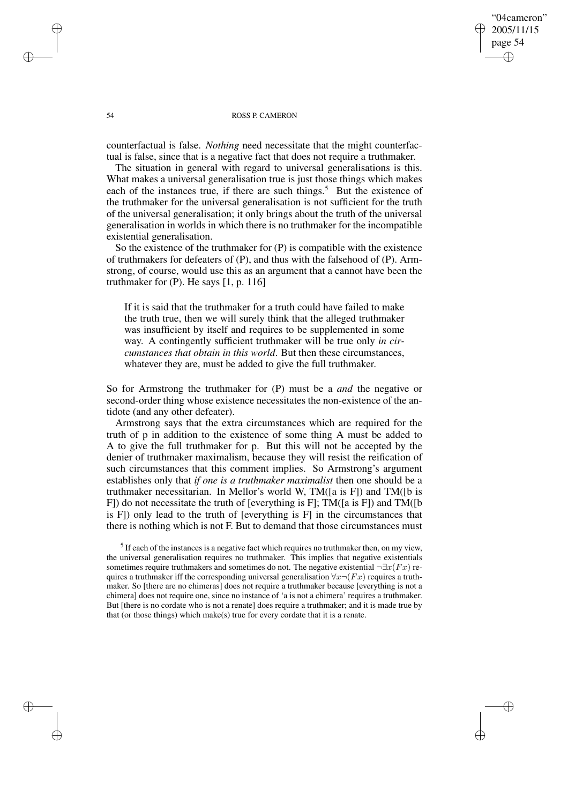"04cameron" 2005/11/15 page 54 ✐ ✐

✐

✐

#### 54 ROSS P. CAMERON

counterfactual is false. *Nothing* need necessitate that the might counterfactual is false, since that is a negative fact that does not require a truthmaker.

The situation in general with regard to universal generalisations is this. What makes a universal generalisation true is just those things which makes each of the instances true, if there are such things.<sup>5</sup> But the existence of the truthmaker for the universal generalisation is not sufficient for the truth of the universal generalisation; it only brings about the truth of the universal generalisation in worlds in which there is no truthmaker for the incompatible existential generalisation.

So the existence of the truthmaker for (P) is compatible with the existence of truthmakers for defeaters of (P), and thus with the falsehood of (P). Armstrong, of course, would use this as an argument that a cannot have been the truthmaker for  $(P)$ . He says  $[1, p. 116]$ 

If it is said that the truthmaker for a truth could have failed to make the truth true, then we will surely think that the alleged truthmaker was insufficient by itself and requires to be supplemented in some way. A contingently sufficient truthmaker will be true only *in circumstances that obtain in this world*. But then these circumstances, whatever they are, must be added to give the full truthmaker.

So for Armstrong the truthmaker for (P) must be a *and* the negative or second-order thing whose existence necessitates the non-existence of the antidote (and any other defeater).

Armstrong says that the extra circumstances which are required for the truth of p in addition to the existence of some thing A must be added to A to give the full truthmaker for p. But this will not be accepted by the denier of truthmaker maximalism, because they will resist the reification of such circumstances that this comment implies. So Armstrong's argument establishes only that *if one is a truthmaker maximalist* then one should be a truthmaker necessitarian. In Mellor's world W, TM([a is F]) and TM([b is F]) do not necessitate the truth of [everything is F]; TM([a is F]) and TM([b is F]) only lead to the truth of [everything is F] in the circumstances that there is nothing which is not F. But to demand that those circumstances must

✐

✐

✐

 $<sup>5</sup>$  If each of the instances is a negative fact which requires no truthmaker then, on my view,</sup> the universal generalisation requires no truthmaker. This implies that negative existentials sometimes require truthmakers and sometimes do not. The negative existential  $\neg \exists x (Fx)$  requires a truthmaker iff the corresponding universal generalisation  $\forall x \neg (Fx)$  requires a truthmaker. So [there are no chimeras] does not require a truthmaker because [everything is not a chimera] does not require one, since no instance of 'a is not a chimera' requires a truthmaker. But [there is no cordate who is not a renate] does require a truthmaker; and it is made true by that (or those things) which make(s) true for every cordate that it is a renate.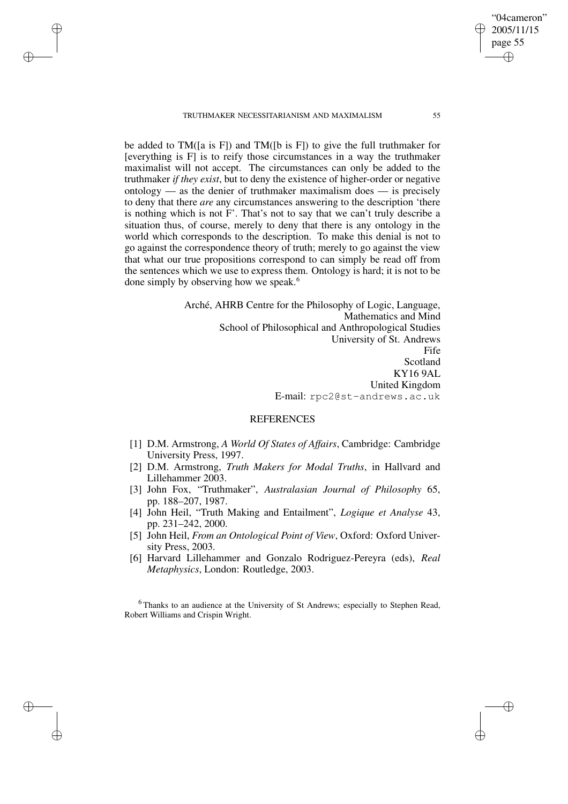TRUTHMAKER NECESSITARIANISM AND MAXIMALISM 55

✐

✐

✐

✐

be added to TM([a is F]) and TM([b is F]) to give the full truthmaker for [everything is F] is to reify those circumstances in a way the truthmaker maximalist will not accept. The circumstances can only be added to the truthmaker *if they exist*, but to deny the existence of higher-order or negative ontology — as the denier of truthmaker maximalism does — is precisely to deny that there *are* any circumstances answering to the description 'there is nothing which is not F'. That's not to say that we can't truly describe a situation thus, of course, merely to deny that there is any ontology in the world which corresponds to the description. To make this denial is not to go against the correspondence theory of truth; merely to go against the view that what our true propositions correspond to can simply be read off from the sentences which we use to express them. Ontology is hard; it is not to be done simply by observing how we speak.<sup>6</sup>

> Arché, AHRB Centre for the Philosophy of Logic, Language, Mathematics and Mind School of Philosophical and Anthropological Studies University of St. Andrews Fife Scotland KY16 9AL United Kingdom E-mail: rpc2@st-andrews.ac.uk

# REFERENCES

- [1] D.M. Armstrong, *A World Of States of Affairs*, Cambridge: Cambridge University Press, 1997.
- [2] D.M. Armstrong, *Truth Makers for Modal Truths*, in Hallvard and Lillehammer 2003.
- [3] John Fox, "Truthmaker", *Australasian Journal of Philosophy* 65, pp. 188–207, 1987.
- [4] John Heil, "Truth Making and Entailment", *Logique et Analyse* 43, pp. 231–242, 2000.
- [5] John Heil, *From an Ontological Point of View*, Oxford: Oxford University Press, 2003.
- [6] Harvard Lillehammer and Gonzalo Rodriguez-Pereyra (eds), *Real Metaphysics*, London: Routledge, 2003.

<sup>6</sup> Thanks to an audience at the University of St Andrews; especially to Stephen Read, Robert Williams and Crispin Wright.

"04cameron" 2005/11/15 page 55

✐

✐

✐